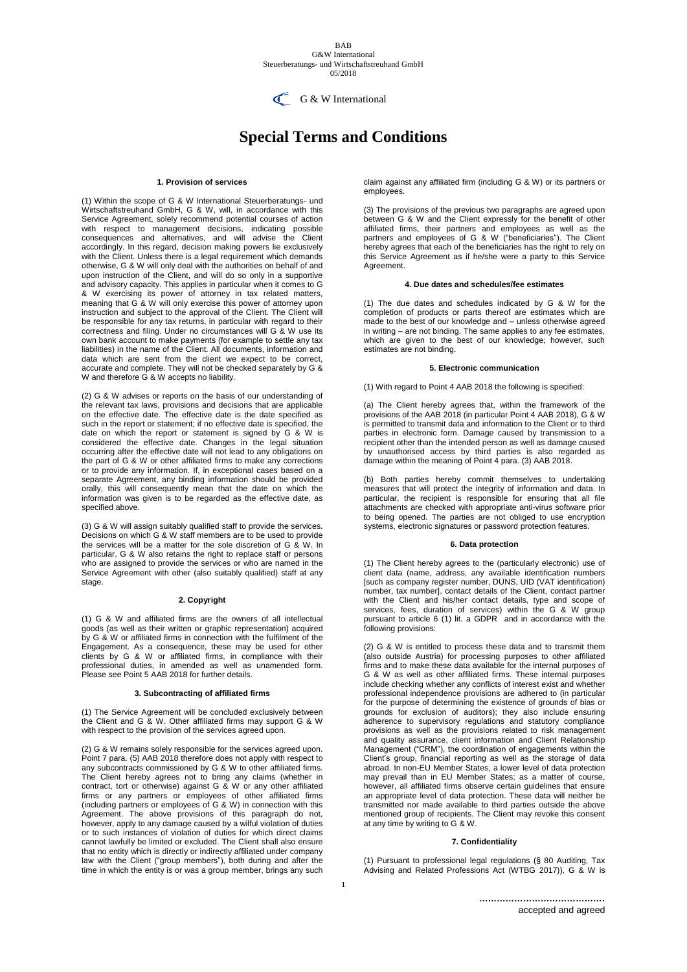#### BAB G&W International Steuerberatungs- und Wirtschaftstreuhand GmbH 05/2018



# **Special Terms and Conditions**

## **1. Provision of services**

(1) Within the scope of G & W International Steuerberatungs- und Wirtschaftstreuhand GmbH, G & W, will, in accordance with this Service Agreement, solely recommend potential courses of action with respect to management decisions, indicating possible consequences and alternatives, and will advise the Client accordingly. In this regard, decision making powers lie exclusively with the Client. Unless there is a legal requirement which demands otherwise, G & W will only deal with the authorities on behalf of and upon instruction of the Client, and will do so only in a supportive and advisory capacity. This applies in particular when it comes to G & W exercising its power of attorney in tax related matters, meaning that G & W will only exercise this power of attorney upon instruction and subject to the approval of the Client. The Client will be responsible for any tax returns, in particular with regard to their correctness and filing. Under no circumstances will G & W use its own bank account to make payments (for example to settle any tax liabilities) in the name of the Client. All documents, information and data which are sent from the client we expect to be correct, accurate and complete. They will not be checked separately by G & W and therefore G & W accepts no liability.

(2) G & W advises or reports on the basis of our understanding of the relevant tax laws, provisions and decisions that are applicable on the effective date. The effective date is the date specified as such in the report or statement; if no effective date is specified, the date on which the report or statement is signed by G & W is considered the effective date. Changes in the legal situation occurring after the effective date will not lead to any obligations on the part of G & W or other affiliated firms to make any corrections or to provide any information. If, in exceptional cases based on a separate Agreement, any binding information should be provided orally, this will consequently mean that the date on which the information was given is to be regarded as the effective date, as specified above.

(3) G & W will assign suitably qualified staff to provide the services. Decisions on which G & W staff members are to be used to provide the services will be a matter for the sole discretion of G & W. In particular, G & W also retains the right to replace staff or persons who are assigned to provide the services or who are named in the Service Agreement with other (also suitably qualified) staff at any stage.

## **2. Copyright**

(1) G & W and affiliated firms are the owners of all intellectual goods (as well as their written or graphic representation) acquired by G & W or affiliated firms in connection with the fulfilment of the Engagement. As a consequence, these may be used for other clients by G & W or affiliated firms, in compliance with their professional duties, in amended as well as unamended form. Please see Point 5 AAB 2018 for further details.

## **3. Subcontracting of affiliated firms**

(1) The Service Agreement will be concluded exclusively between the Client and G & W. Other affiliated firms may support G & W with respect to the provision of the services agreed upon.

(2) G & W remains solely responsible for the services agreed upon. Point 7 para. (5) AAB 2018 therefore does not apply with respect to any subcontracts commissioned by G & W to other affiliated firms. The Client hereby agrees not to bring any claims (whether in contract, tort or otherwise) against G & W or any other affiliated firms or any partners or employees of other affiliated firms (including partners or employees of G & W) in connection with this Agreement. The above provisions of this paragraph do not, however, apply to any damage caused by a wilful violation of duties or to such instances of violation of duties for which direct claims cannot lawfully be limited or excluded. The Client shall also ensure that no entity which is directly or indirectly affiliated under company law with the Client ("group members"), both during and after the time in which the entity is or was a group member, brings any such

claim against any affiliated firm (including G & W) or its partners or employees.

(3) The provisions of the previous two paragraphs are agreed upon between G & W and the Client expressly for the benefit of other affiliated firms, their partners and employees as well as the partners and employees of G & W ("beneficiaries"). The Client hereby agrees that each of the beneficiaries has the right to rely on this Service Agreement as if he/she were a party to this Service Agreement.

## **4. Due dates and schedules/fee estimates**

(1) The due dates and schedules indicated by G & W for the completion of products or parts thereof are estimates which are made to the best of our knowledge and – unless otherwise agreed in writing – are not binding. The same applies to any fee estimates, which are given to the best of our knowledge; however, such estimates are not binding.

#### **5. Electronic communication**

(1) With regard to Point 4 AAB 2018 the following is specified:

(a) The Client hereby agrees that, within the framework of the provisions of the AAB 2018 (in particular Point 4 AAB 2018), G & W is permitted to transmit data and information to the Client or to third parties in electronic form. Damage caused by transmission to a recipient other than the intended person as well as damage caused by unauthorised access by third parties is also regarded as damage within the meaning of Point 4 para. (3) AAB 2018.

(b) Both parties hereby commit themselves to undertaking measures that will protect the integrity of information and data. In particular, the recipient is responsible for ensuring that all file attachments are checked with appropriate anti-virus software prior to being opened. The parties are not obliged to use encryption systems, electronic signatures or password protection features.

#### **6. Data protection**

(1) The Client hereby agrees to the (particularly electronic) use of client data (name, address, any available identification numbers [such as company register number, DUNS, UID (VAT identification) number, tax number], contact details of the Client, contact partner with the Client and his/her contact details, type and scope of services, fees, duration of services) within the G & W group pursuant to article 6 (1) lit. a GDPR and in accordance with the following provisions:

(2) G & W is entitled to process these data and to transmit them (also outside Austria) for processing purposes to other affiliated firms and to make these data available for the internal purposes of G & W as well as other affiliated firms. These internal purposes include checking whether any conflicts of interest exist and whether professional independence provisions are adhered to (in particular for the purpose of determining the existence of grounds of bias or grounds for exclusion of auditors); they also include ensuring adherence to supervisory regulations and statutory compliance provisions as well as the provisions related to risk management and quality assurance, client information and Client Relationship Management ("CRM"), the coordination of engagements within the Client's group, financial reporting as well as the storage of data abroad. In non-EU Member States, a lower level of data protection may prevail than in EU Member States; as a matter of course, however, all affiliated firms observe certain guidelines that ensure an appropriate level of data protection. These data will neither be transmitted nor made available to third parties outside the above mentioned group of recipients. The Client may revoke this consent at any time by writing to G & W.

## **7. Confidentiality**

(1) Pursuant to professional legal regulations (§ 80 Auditing, Tax Advising and Related Professions Act (WTBG 2017)), G & W is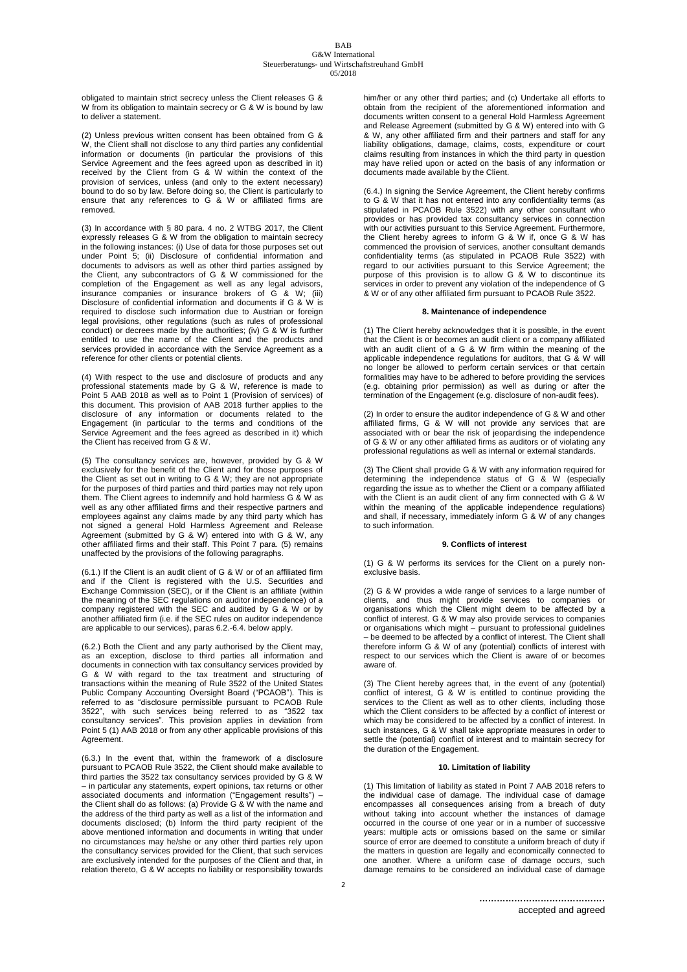obligated to maintain strict secrecy unless the Client releases G & W from its obligation to maintain secrecy or G & W is bound by law to deliver a statement.

(2) Unless previous written consent has been obtained from G & W, the Client shall not disclose to any third parties any confidential information or documents (in particular the provisions of this Service Agreement and the fees agreed upon as described in it) received by the Client from G & W within the context of the provision of services, unless (and only to the extent necessary) bound to do so by law. Before doing so, the Client is particularly to ensure that any references to G & W or affiliated firms are removed.

(3) In accordance with § 80 para. 4 no. 2 WTBG 2017, the Client expressly releases G & W from the obligation to maintain secrecy in the following instances: (i) Use of data for those purposes set out under Point 5; (ii) Disclosure of confidential information and documents to advisors as well as other third parties assigned by the Client, any subcontractors of G & W commissioned for the completion of the Engagement as well as any legal advisors, insurance companies or insurance brokers of G & W; (iii) Disclosure of confidential information and documents if G & W is required to disclose such information due to Austrian or foreign legal provisions, other regulations (such as rules of professional conduct) or decrees made by the authorities; (iv) G & W is further entitled to use the name of the Client and the products and services provided in accordance with the Service Agreement as a reference for other clients or potential clients.

(4) With respect to the use and disclosure of products and any professional statements made by G & W, reference is made to Point 5 AAB 2018 as well as to Point 1 (Provision of services) of this document. This provision of AAB 2018 further applies to the disclosure of any information or documents related to the Engagement (in particular to the terms and conditions of the Service Agreement and the fees agreed as described in it) which the Client has received from G & W.

(5) The consultancy services are, however, provided by G & W exclusively for the benefit of the Client and for those purposes of the Client as set out in writing to G & W; they are not appropriate for the purposes of third parties and third parties may not rely upon them. The Client agrees to indemnify and hold harmless G & W as well as any other affiliated firms and their respective partners and employees against any claims made by any third party which has not signed a general Hold Harmless Agreement and Release Agreement (submitted by G & W) entered into with G & W, any other affiliated firms and their staff. This Point 7 para. (5) remains unaffected by the provisions of the following paragraphs.

(6.1.) If the Client is an audit client of G & W or of an affiliated firm and if the Client is registered with the U.S. Securities and Exchange Commission (SEC), or if the Client is an affiliate (within the meaning of the SEC regulations on auditor independence) of a company registered with the SEC and audited by G & W or by another affiliated firm (i.e. if the SEC rules on auditor independence are applicable to our services), paras 6.2.-6.4. below apply.

(6.2.) Both the Client and any party authorised by the Client may, as an exception, disclose to third parties all information and documents in connection with tax consultancy services provided by G & W with regard to the tax treatment and structuring of transactions within the meaning of Rule 3522 of the United States Public Company Accounting Oversight Board ("PCAOB"). This is referred to as "disclosure permissible pursuant to PCAOB Rule 3522", with such services being referred to as "3522 tax consultancy services". This provision applies in deviation from Point 5 (1) AAB 2018 or from any other applicable provisions of this Agreement.

(6.3.) In the event that, within the framework of a disclosure pursuant to PCAOB Rule 3522, the Client should make available to third parties the 3522 tax consultancy services provided by G & W – in particular any statements, expert opinions, tax returns or other associated documents and information ("Engagement results") – the Client shall do as follows: (a) Provide G & W with the name and the address of the third party as well as a list of the information and documents disclosed; (b) Inform the third party recipient of the above mentioned information and documents in writing that under no circumstances may he/she or any other third parties rely upon the consultancy services provided for the Client, that such services are exclusively intended for the purposes of the Client and that, in relation thereto, G & W accepts no liability or responsibility towards

him/her or any other third parties; and (c) Undertake all efforts to obtain from the recipient of the aforementioned information and documents written consent to a general Hold Harmless Agreement and Release Agreement (submitted by G & W) entered into with G & W, any other affiliated firm and their partners and staff for any liability obligations, damage, claims, costs, expenditure or court claims resulting from instances in which the third party in question may have relied upon or acted on the basis of any information or documents made available by the Client.

(6.4.) In signing the Service Agreement, the Client hereby confirms to G & W that it has not entered into any confidentiality terms (as stipulated in PCAOB Rule 3522) with any other consultant who provides or has provided tax consultancy services in connection with our activities pursuant to this Service Agreement. Furthermore, the Client hereby agrees to inform G & W if, once G & W has commenced the provision of services, another consultant demands confidentiality terms (as stipulated in PCAOB Rule 3522) with regard to our activities pursuant to this Service Agreement; the purpose of this provision is to allow G & W to discontinue its services in order to prevent any violation of the independence of G & W or of any other affiliated firm pursuant to PCAOB Rule 3522.

## **8. Maintenance of independence**

(1) The Client hereby acknowledges that it is possible, in the event that the Client is or becomes an audit client or a company affiliated with an audit client of a G & W firm within the meaning of the applicable independence regulations for auditors, that G & W will no longer be allowed to perform certain services or that certain formalities may have to be adhered to before providing the services (e.g. obtaining prior permission) as well as during or after the termination of the Engagement (e.g. disclosure of non-audit fees).

(2) In order to ensure the auditor independence of G & W and other affiliated firms, G & W will not provide any services that are associated with or bear the risk of jeopardising the independence of G & W or any other affiliated firms as auditors or of violating any professional regulations as well as internal or external standards.

(3) The Client shall provide G & W with any information required for determining the independence status of G & W (especially regarding the issue as to whether the Client or a company affiliated with the Client is an audit client of any firm connected with G & W within the meaning of the applicable independence regulations) and shall, if necessary, immediately inform G & W of any changes to such information.

#### **9. Conflicts of interest**

(1) G & W performs its services for the Client on a purely nonexclusive basis.

(2) G & W provides a wide range of services to a large number of clients, and thus might provide services to companies or organisations which the Client might deem to be affected by a conflict of interest. G & W may also provide services to companies or organisations which might – pursuant to professional guidelines – be deemed to be affected by a conflict of interest. The Client shall therefore inform G & W of any (potential) conflicts of interest with respect to our services which the Client is aware of or becomes aware of.

(3) The Client hereby agrees that, in the event of any (potential) conflict of interest, G & W is entitled to continue providing the services to the Client as well as to other clients, including those which the Client considers to be affected by a conflict of interest or which may be considered to be affected by a conflict of interest. In such instances, G & W shall take appropriate measures in order to settle the (potential) conflict of interest and to maintain secrecy for the duration of the Engagement.

# **10. Limitation of liability**

(1) This limitation of liability as stated in Point 7 AAB 2018 refers to the individual case of damage. The individual case of damage encompasses all consequences arising from a breach of duty without taking into account whether the instances of damage occurred in the course of one year or in a number of successive years: multiple acts or omissions based on the same or similar source of error are deemed to constitute a uniform breach of duty if the matters in question are legally and economically connected to one another. Where a uniform case of damage occurs, such damage remains to be considered an individual case of damage